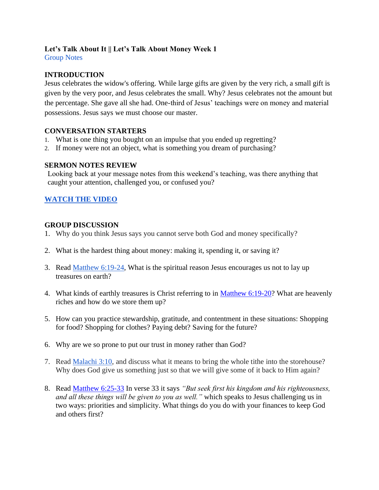# **Let's Talk About It || Let's Talk About Money Week 1**

Group Notes

# **INTRODUCTION**

Jesus celebrates the widow's offering. While large gifts are given by the very rich, a small gift is given by the very poor, and Jesus celebrates the small. Why? Jesus celebrates not the amount but the percentage. She gave all she had. One-third of Jesus' teachings were on money and material possessions. Jesus says we must choose our master.

### **CONVERSATION STARTERS**

- 1. What is one thing you bought on an impulse that you ended up regretting?
- 2. If money were not an object, what is something you dream of purchasing?

### **SERMON NOTES REVIEW**

Looking back at your message notes from this weekend's teaching, was there anything that caught your attention, challenged you, or confused you?

# **[WATCH THE VIDEO](https://www.youtube.com/watch?v=Qxjd6qBrtsE)**

### **GROUP DISCUSSION**

- 1. Why do you think Jesus says you cannot serve both God and money specifically?
- 2. What is the hardest thing about money: making it, spending it, or saving it?
- 3. Read [Matthew 6:19-24,](https://www.biblegateway.com/passage/?search=matt+6%3A19-24&version=ESV) What is the spiritual reason Jesus encourages us not to lay up treasures on earth?
- 4. What kinds of earthly treasures is Christ referring to in [Matthew 6:19-20?](https://www.biblegateway.com/passage/?search=matt+6%3A19-20&version=ESV) What are heavenly riches and how do we store them up?
- 5. How can you practice stewardship, gratitude, and contentment in these situations: Shopping for food? Shopping for clothes? Paying debt? Saving for the future?
- 6. Why are we so prone to put our trust in money rather than God?
- 7. Read [Malachi 3:10,](https://www.biblegateway.com/passage/?search=Malachi%203%3A10&version=NIV) and discuss what it means to bring the whole tithe into the storehouse? Why does God give us something just so that we will give some of it back to Him again?
- 8. Read [Matthew 6:25-33](https://www.biblegateway.com/passage/?search=Matthew+6%3A25-33&version=ESV) In verse 33 it says *"But seek first his kingdom and his righteousness, and all these things will be given to you as well."* which speaks to Jesus challenging us in two ways: priorities and simplicity. What things do you do with your finances to keep God and others first?